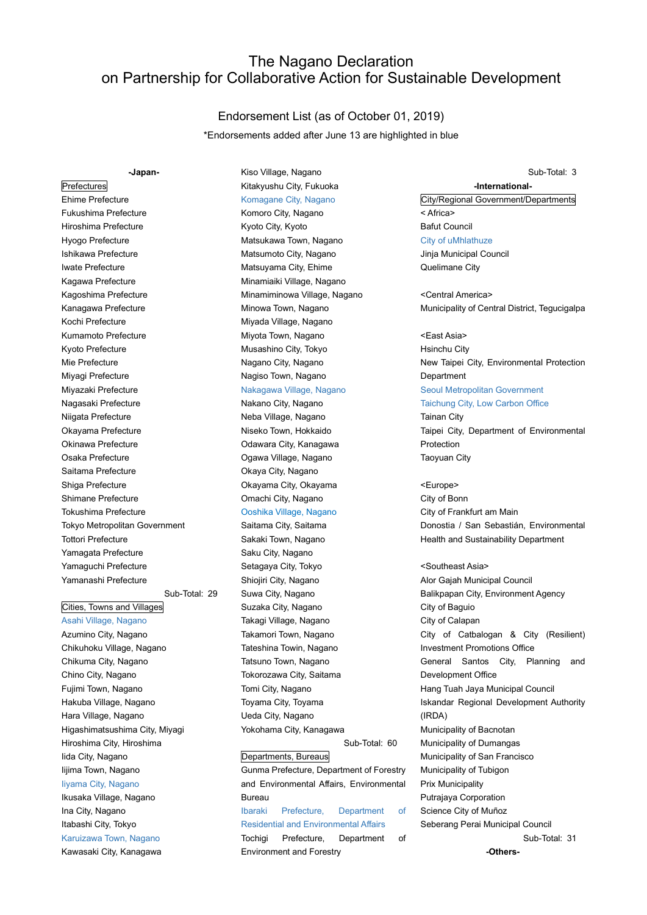# The Nagano Declaration on Partnership for Collaborative Action for Sustainable Development

### Endorsement List (as of October 01, 2019)

\*Endorsements added after June 13 are highlighted in blue

# **Prefectures**

-Japan-

Ehime Prefecture Fukushima Prefecture Hiroshima Prefecture Hyogo Prefecture Ishikawa Prefecture Iwate Prefecture Kagawa Prefecture Kagoshima Prefecture Kanagawa Prefecture Kochi Prefecture Kumamoto Prefecture Kyoto Prefecture Mie Prefecture Miyagi Prefecture Miyazaki Prefecture Nagasaki Prefecture Niigata Prefecture Okayama Prefecture Okinawa Prefecture Osaka Prefecture Saitama Prefecture Shiga Prefecture Shimane Prefecture Tokushima Prefecture Tokyo Metropolitan Government Tottori Prefecture Yamagata Prefecture Yamaguchi Prefecture Yamanashi Prefecture

# Sub-Total: 29

Cities, Towns and Villages Asahi Village, Nagano Azumino City, Nagano Chikuhoku Village, Nagano Chikuma City, Nagano Chino City, Nagano Fujimi Town, Nagano Hakuba Village, Nagano Hara Village, Nagano Higashimatsushima City, Miyagi Hiroshima City, Hiroshima Iida City, Nagano Iijima Town, Nagano Iiyama City, Nagano

## Ikusaka Village, Nagano Ina City, Nagano Itabashi City, Tokyo Karuizawa Town, Nagano Kawasaki City, Kanagawa

### Kiso Village, Nagano Kitakyushu City, Fukuoka Komagane City, Nagano

Komoro City, Nagano Kyoto City, Kyoto Matsukawa Town, Nagano Matsumoto City, Nagano Matsuyama City, Ehime Minamiaiki Village, Nagano Minamiminowa Village, Nagano Minowa Town, Nagano Miyada Village, Nagano Miyota Town, Nagano Musashino City, Tokyo Nagano City, Nagano Nagiso Town, Nagano Nakagawa Village, Nagano

Nakano City, Nagano Neba Village, Nagano Niseko Town, Hokkaido Odawara City, Kanagawa Ogawa Village, Nagano Okaya City, Nagano Okayama City, Okayama Omachi City, Nagano Ooshika Village, Nagano Saitama City, Saitama Sakaki Town, Nagano Saku City, Nagano Setagaya City, Tokyo Shiojiri City, Nagano Suwa City, Nagano Suzaka City, Nagano Takagi Village, Nagano Takamori Town, Nagano Tateshina Towin, Nagano Tatsuno Town, Nagano Tokorozawa City, Saitama Tomi City, Nagano Toyama City, Toyama Ueda City, Nagano Yokohama City, Kanagawa

### Departments, Bureaus

Gunma Prefecture, Department of Forestry and Environmental Affairs, Environmental Bureau Ibaraki Prefecture, Department of Residential and Environmental Affairs Tochigi Prefecture, Department of Environment and Forestry

Sub-Total: 60

## Sub-Total: 3

### -International-

City/Regional Government/Departments < Africa> Bafut Council City of uMhlathuze Jinja Municipal Council

Quelimane City

<Central America> Municipality of Central District, Tegucigalpa

<East Asia> Hsinchu City New Taipei City, Environmental Protection Department Seoul Metropolitan Government

Taichung City, Low Carbon Office

Tainan City Taipei City, Department of Environmental Protection Taoyuan City

<Europe> City of Bonn City of Frankfurt am Main Donostia / San Sebastián, Environmental Health and Sustainability Department

### <Southeast Asia>

Alor Gajah Municipal Council Balikpapan City, Environment Agency City of Baguio City of Calapan City of Catbalogan & City (Resilient) Investment Promotions Office General Santos City, Planning and Development Office Hang Tuah Jaya Municipal Council Iskandar Regional Development Authority (IRDA) Municipality of Bacnotan Municipality of Dumangas Municipality of San Francisco Municipality of Tubigon Prix Municipality Putrajaya Corporation Science City of Muñoz Seberang Perai Municipal Council Sub-Total: 31

-Others-